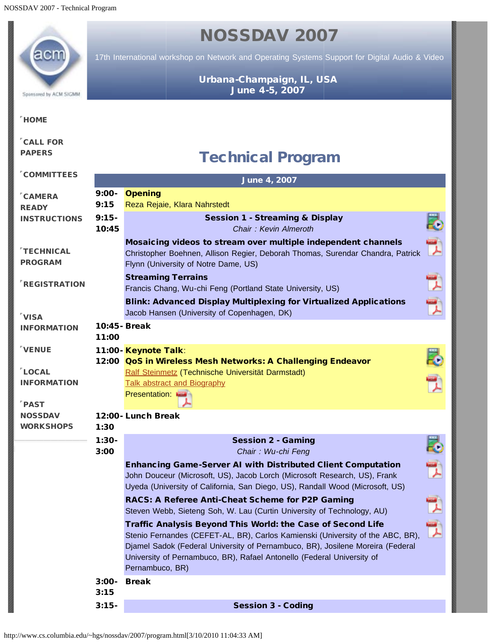## <span id="page-0-0"></span>NOSSDAV 2007 17th International workshop on Network and Operating Systems Support for Digital Audio & Video Urbana-Champaign, IL, USA June 4-5, 2007 Sponsored by ACM SIGMM **[HOME](http://www.cs.columbia.edu/~hgs/nossdav/2007/index.html)** [CALL FOR](http://www.cs.columbia.edu/~hgs/nossdav/2007/cfp.html) [PAPERS](http://www.cs.columbia.edu/~hgs/nossdav/2007/cfp.html) Technical Program [COMMITTEES](http://www.cs.columbia.edu/~hgs/nossdav/2007/comm.html) June 4, 2007 9:00- **Opening** [CAMERA](http://www.cs.columbia.edu/~hgs/nossdav/2007/instructions.html) 9:15 Reza Rejaie, Klara Nahrstedt **[READY](http://www.cs.columbia.edu/~hgs/nossdav/2007/instructions.html) [INSTRUCTIONS](http://www.cs.columbia.edu/~hgs/nossdav/2007/instructions.html)** 9:15- Session 1 - Streaming & Display 10:45 *Chair : Kevin Almeroth* Mosaicing videos to stream over multiple independent channels [TECHNICAL](#page-0-0) Christopher Boehnen, Allison Regier, Deborah Thomas, Surendar Chandra, Patrick [PROGRAM](#page-0-0) Flynn (University of Notre Dame, US) Streaming Terrains [REGISTRATION](http://www.cs.columbia.edu/~hgs/nossdav/2007/reg.html) Francis Chang, Wu-chi Feng (Portland State University, US) Blink: Advanced Display Multiplexing for Virtualized Applications Jacob Hansen (University of Copenhagen, DK) [VISA](http://www.cs.columbia.edu/~hgs/nossdav/2007/visa.html) 10:45- Break [INFORMATION](http://www.cs.columbia.edu/~hgs/nossdav/2007/visa.html) 11:00 [VENUE](http://www.cs.uiuc.edu/) 11:00- Keynote Talk: 12:00 QoS in Wireless Mesh Networks: A Challenging Endeavor [LOCAL](http://www.cs.columbia.edu/~hgs/nossdav/2007/local.html) [Ralf Steinmetz](http://www.kom.tu-darmstadt.de/en/people/staff/ralf-steinmetz/) (Technische Universität Darmstadt) [INFORMATION](http://www.cs.columbia.edu/~hgs/nossdav/2007/local.html) [Talk abstract and Biography](http://www.cs.columbia.edu/~hgs/nossdav/2007/keynote.html) Presentation:  $^{\prime}$  [PAST](http://www.nossdav.org/) **[NOSSDAV](http://www.nossdav.org/)** 12:00- Lunch Break **[WORKSHOPS](http://www.nossdav.org/)** 1:30 こうしょう 1:30- Session 2 - Gaming 3:00 *Chair : Wu-chi Feng* Enhancing Game-Server AI with Distributed Client Computation John Douceur (Microsoft, US), Jacob Lorch (Microsoft Research, US), Frank Uyeda (University of California, San Diego, US), Randall Wood (Microsoft, US) 밋 RACS: A Referee Anti-Cheat Scheme for P2P Gaming Steven Webb, Sieteng Soh, W. Lau (Curtin University of Technology, AU) Traffic Analysis Beyond This World: the Case of Second Life Stenio Fernandes (CEFET-AL, BR), Carlos Kamienski (University of the ABC, BR), Djamel Sadok (Federal University of Pernambuco, BR), Josilene Moreira (Federal University of Pernambuco, BR), Rafael Antonello (Federal University of Pernambuco, BR) 3:00- Break 3:15 3:15- Session 3 - Coding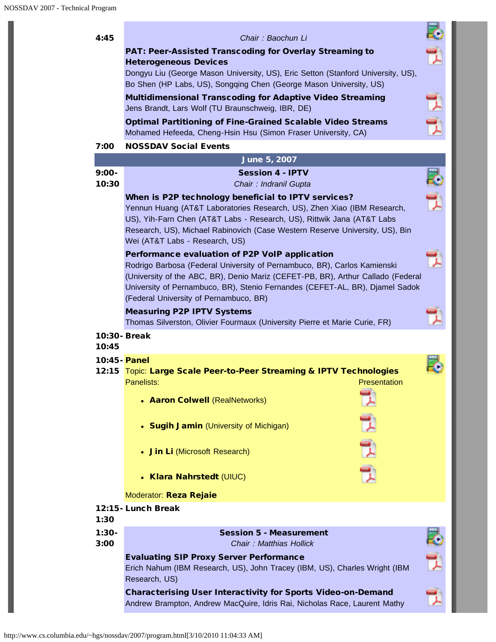